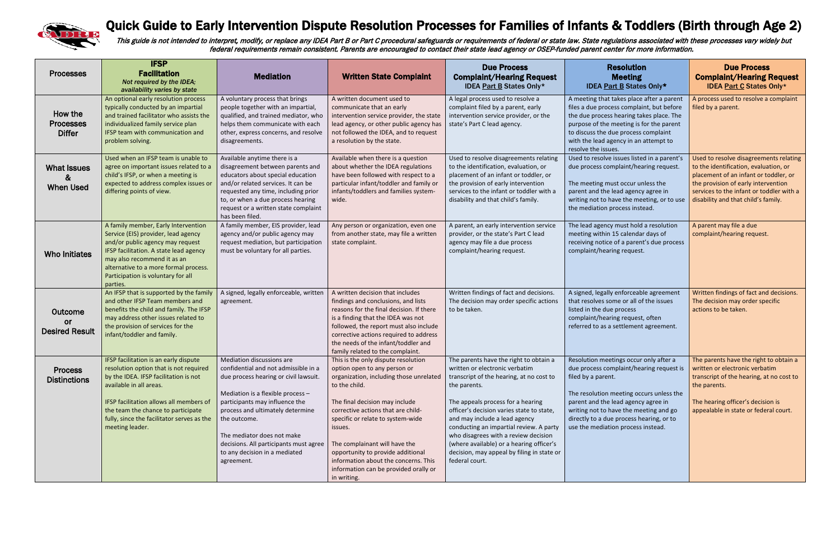

## Quick Guide to Early Intervention Dispute Resolution Processes for Families of Infants & Toddlers (Birth through Age 2)

This guide is not intended to interpret, modify, or replace any IDEA Part B or Part C procedural safeguards or requirements of federal or state law. State regulations associated with these processes vary widely but federal requirements remain consistent. Parents are encouraged to contact their state lead agency or OSEP-funded parent center for more information.

| <b>Processes</b>                              | <b>IFSP</b><br><b>Facilitation</b><br>Not required by the IDEA;<br>availability varies by state                                                                                                                                                                                                       | <b>Mediation</b>                                                                                                                                                                                                                                                                                                                                             | <b>Written State Complaint</b>                                                                                                                                                                                                                                                                                                                                                                                                | <b>Due Process</b><br><b>Complaint/Hearing Request</b><br><b>IDEA Part B States Only*</b>                                                                                                                                                                                                                                                                                                                                                              | <b>Resolution</b><br><b>Meeting</b><br><b>IDEA Part B States Only*</b>                                                                                                                                                                                                                                                  | <b>Due Process</b><br><b>Complaint/Hearing Request</b><br><b>IDEA Part C States Only*</b>                                                                                                                                                          |
|-----------------------------------------------|-------------------------------------------------------------------------------------------------------------------------------------------------------------------------------------------------------------------------------------------------------------------------------------------------------|--------------------------------------------------------------------------------------------------------------------------------------------------------------------------------------------------------------------------------------------------------------------------------------------------------------------------------------------------------------|-------------------------------------------------------------------------------------------------------------------------------------------------------------------------------------------------------------------------------------------------------------------------------------------------------------------------------------------------------------------------------------------------------------------------------|--------------------------------------------------------------------------------------------------------------------------------------------------------------------------------------------------------------------------------------------------------------------------------------------------------------------------------------------------------------------------------------------------------------------------------------------------------|-------------------------------------------------------------------------------------------------------------------------------------------------------------------------------------------------------------------------------------------------------------------------------------------------------------------------|----------------------------------------------------------------------------------------------------------------------------------------------------------------------------------------------------------------------------------------------------|
| How the<br><b>Processes</b><br><b>Differ</b>  | An optional early resolution process<br>typically conducted by an impartial<br>and trained facilitator who assists the<br>individualized family service plan<br>IFSP team with communication and<br>problem solving.                                                                                  | A voluntary process that brings<br>people together with an impartial,<br>qualified, and trained mediator, who<br>helps them communicate with each<br>other, express concerns, and resolve<br>disagreements.                                                                                                                                                  | A written document used to<br>communicate that an early<br>intervention service provider, the state<br>lead agency, or other public agency has<br>not followed the IDEA, and to request<br>a resolution by the state.                                                                                                                                                                                                         | A legal process used to resolve a<br>complaint filed by a parent, early<br>intervention service provider, or the<br>state's Part C lead agency.                                                                                                                                                                                                                                                                                                        | A meeting that takes place after a parent<br>files a due process complaint, but before<br>the due process hearing takes place. The<br>purpose of the meeting is for the parent<br>to discuss the due process complaint<br>with the lead agency in an attempt to<br>resolve the issues.                                  | A process used to resolve a complaint<br>filed by a parent.                                                                                                                                                                                        |
| <b>What Issues</b><br>&<br><b>When Used</b>   | Used when an IFSP team is unable to<br>agree on important issues related to a<br>child's IFSP, or when a meeting is<br>expected to address complex issues or<br>differing points of view.                                                                                                             | Available anytime there is a<br>disagreement between parents and<br>educators about special education<br>and/or related services. It can be<br>requested any time, including prior<br>to, or when a due process hearing<br>request or a written state complaint<br>has been filed.                                                                           | Available when there is a question<br>about whether the IDEA regulations<br>have been followed with respect to a<br>particular infant/toddler and family or<br>infants/toddlers and families system-<br>wide.                                                                                                                                                                                                                 | Used to resolve disagreements relating<br>to the identification, evaluation, or<br>placement of an infant or toddler, or<br>the provision of early intervention<br>services to the infant or toddler with a<br>disability and that child's family.                                                                                                                                                                                                     | Used to resolve issues listed in a parent's<br>due process complaint/hearing request.<br>The meeting must occur unless the<br>parent and the lead agency agree in<br>writing not to have the meeting, or to use<br>the mediation process instead.                                                                       | Used to resolve disagreements relating<br>to the identification, evaluation, or<br>placement of an infant or toddler, or<br>the provision of early intervention<br>services to the infant or toddler with a<br>disability and that child's family. |
| <b>Who Initiates</b>                          | A family member, Early Intervention<br>Service (EIS) provider, lead agency<br>and/or public agency may request<br>IFSP facilitation. A state lead agency<br>may also recommend it as an<br>alternative to a more formal process.<br>Participation is voluntary for all<br>parties.                    | A family member, EIS provider, lead<br>agency and/or public agency may<br>request mediation, but participation<br>must be voluntary for all parties.                                                                                                                                                                                                         | Any person or organization, even one<br>from another state, may file a written<br>state complaint.                                                                                                                                                                                                                                                                                                                            | A parent, an early intervention service<br>provider, or the state's Part C lead<br>agency may file a due process<br>complaint/hearing request.                                                                                                                                                                                                                                                                                                         | The lead agency must hold a resolution<br>meeting within 15 calendar days of<br>receiving notice of a parent's due process<br>complaint/hearing request.                                                                                                                                                                | A parent may file a due<br>complaint/hearing request.                                                                                                                                                                                              |
| Outcome<br><u>or</u><br><b>Desired Result</b> | An IFSP that is supported by the family<br>and other IFSP Team members and<br>benefits the child and family. The IFSP<br>may address other issues related to<br>the provision of services for the<br>infant/toddler and family.                                                                       | A signed, legally enforceable, written<br>agreement.                                                                                                                                                                                                                                                                                                         | A written decision that includes<br>findings and conclusions, and lists<br>reasons for the final decision. If there<br>is a finding that the IDEA was not<br>followed, the report must also include<br>corrective actions required to address<br>the needs of the infant/toddler and<br>family related to the complaint.                                                                                                      | Written findings of fact and decisions.<br>The decision may order specific actions<br>to be taken.                                                                                                                                                                                                                                                                                                                                                     | A signed, legally enforceable agreement<br>that resolves some or all of the issues<br>listed in the due process<br>complaint/hearing request, often<br>referred to as a settlement agreement.                                                                                                                           | Written findings of fact and decisions.<br>The decision may order specific<br>actions to be taken.                                                                                                                                                 |
| <b>Process</b><br><b>Distinctions</b>         | IFSP facilitation is an early dispute<br>resolution option that is not required<br>by the IDEA. IFSP facilitation is not<br>available in all areas.<br>IFSP facilitation allows all members of<br>the team the chance to participate<br>fully, since the facilitator serves as the<br>meeting leader. | Mediation discussions are<br>confidential and not admissible in a<br>due process hearing or civil lawsuit.<br>Mediation is a flexible process -<br>participants may influence the<br>process and ultimately determine<br>the outcome.<br>The mediator does not make<br>decisions. All participants must agree<br>to any decision in a mediated<br>agreement. | This is the only dispute resolution<br>option open to any person or<br>organization, including those unrelated<br>to the child.<br>The final decision may include<br>corrective actions that are child-<br>specific or relate to system-wide<br>issues.<br>The complainant will have the<br>opportunity to provide additional<br>information about the concerns. This<br>information can be provided orally or<br>in writing. | The parents have the right to obtain a<br>written or electronic verbatim<br>transcript of the hearing, at no cost to<br>the parents.<br>The appeals process for a hearing<br>officer's decision varies state to state,<br>and may include a lead agency<br>conducting an impartial review. A party<br>who disagrees with a review decision<br>(where available) or a hearing officer's<br>decision, may appeal by filing in state or<br>federal court. | Resolution meetings occur only after a<br>due process complaint/hearing request is<br>filed by a parent.<br>The resolution meeting occurs unless the<br>parent and the lead agency agree in<br>writing not to have the meeting and go<br>directly to a due process hearing, or to<br>use the mediation process instead. | The parents have the right to obtain a<br>written or electronic verbatim<br>transcript of the hearing, at no cost to<br>the parents.<br>The hearing officer's decision is<br>appealable in state or federal court.                                 |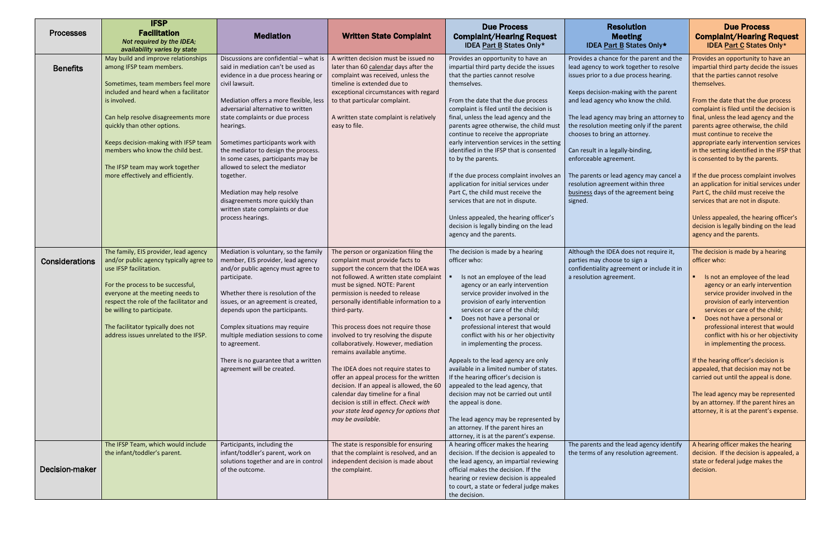| <b>Due Process</b><br><b>Due Process</b><br><b>Resolution</b><br><b>Facilitation</b><br><b>Processes</b><br><b>Mediation</b><br><b>Written State Complaint</b><br><b>Complaint/Hearing Request</b><br><b>Complaint/Hearing Request</b><br><b>Meeting</b><br>Not required by the IDEA;<br><b>IDEA Part C States Only*</b><br><b>IDEA Part B States Only*</b><br><b>IDEA Part B States Only*</b><br>availability varies by state<br>Discussions are confidential - what is<br>May build and improve relationships<br>A written decision must be issued no<br>Provides an opportunity to have an<br>Provides a chance for the parent and the<br>Provides an opportunity to have an<br>said in mediation can't be used as<br>impartial third party decide the issues<br>lead agency to work together to resolve<br>impartial third party decide the issues<br>among IFSP team members.<br>later than 60 calendar days after the<br><b>Benefits</b><br>evidence in a due process hearing or<br>that the parties cannot resolve<br>complaint was received, unless the<br>that the parties cannot resolve<br>issues prior to a due process hearing.<br>civil lawsuit.<br>timeline is extended due to<br>themselves.<br>themselves.<br>Sometimes, team members feel more<br>included and heard when a facilitator<br>exceptional circumstances with regard<br>Keeps decision-making with the parent<br>is involved.<br>Mediation offers a more flexible, less<br>to that particular complaint.<br>and lead agency who know the child.<br>From the date that the due process<br>From the date that the due process<br>adversarial alternative to written<br>complaint is filed until the decision is<br>complaint is filed until the decision is<br>state complaints or due process<br>final, unless the lead agency and the<br>The lead agency may bring an attorney to<br>final, unless the lead agency and the<br>Can help resolve disagreements more<br>A written state complaint is relatively<br>easy to file.<br>the resolution meeting only if the parent<br>quickly than other options.<br>parents agree otherwise, the child must<br>parents agree otherwise, the child<br>hearings.<br>continue to receive the appropriate<br>chooses to bring an attorney.<br>must continue to receive the<br>early intervention services in the setting<br>Keeps decision-making with IFSP team<br>Sometimes participants work with<br>appropriate early intervention services<br>members who know the child best.<br>the mediator to design the process.<br>identified in the IFSP that is consented<br>Can result in a legally-binding,<br>enforceable agreement.<br>is consented to by the parents.<br>In some cases, participants may be<br>to by the parents.<br>The IFSP team may work together<br>allowed to select the mediator<br>more effectively and efficiently.<br>The parents or lead agency may cancel a<br>If the due process complaint involves<br>If the due process complaint involves an<br>together.<br>application for initial services under<br>resolution agreement within three<br>an application for initial services under<br>Part C, the child must receive the<br>Mediation may help resolve<br>Part C, the child must receive the<br>business days of the agreement being<br>disagreements more quickly than<br>services that are not in dispute.<br>services that are not in dispute.<br>signed.<br>written state complaints or due<br>process hearings.<br>Unless appealed, the hearing officer's<br>Unless appealed, the hearing officer's<br>decision is legally binding on the lead<br>decision is legally binding on the lead<br>agency and the parents.<br>agency and the parents. | <b>IFSP</b> |  |  |  |
|-------------------------------------------------------------------------------------------------------------------------------------------------------------------------------------------------------------------------------------------------------------------------------------------------------------------------------------------------------------------------------------------------------------------------------------------------------------------------------------------------------------------------------------------------------------------------------------------------------------------------------------------------------------------------------------------------------------------------------------------------------------------------------------------------------------------------------------------------------------------------------------------------------------------------------------------------------------------------------------------------------------------------------------------------------------------------------------------------------------------------------------------------------------------------------------------------------------------------------------------------------------------------------------------------------------------------------------------------------------------------------------------------------------------------------------------------------------------------------------------------------------------------------------------------------------------------------------------------------------------------------------------------------------------------------------------------------------------------------------------------------------------------------------------------------------------------------------------------------------------------------------------------------------------------------------------------------------------------------------------------------------------------------------------------------------------------------------------------------------------------------------------------------------------------------------------------------------------------------------------------------------------------------------------------------------------------------------------------------------------------------------------------------------------------------------------------------------------------------------------------------------------------------------------------------------------------------------------------------------------------------------------------------------------------------------------------------------------------------------------------------------------------------------------------------------------------------------------------------------------------------------------------------------------------------------------------------------------------------------------------------------------------------------------------------------------------------------------------------------------------------------------------------------------------------------------------------------------------------------------------------------------------------------------------------------------------------------------------------------------------------------------------------------------------------------------------------------------------------------------------------------------------------------------------------------------------------------------------------------------------------------------------------------------------------------------------------------|-------------|--|--|--|
|                                                                                                                                                                                                                                                                                                                                                                                                                                                                                                                                                                                                                                                                                                                                                                                                                                                                                                                                                                                                                                                                                                                                                                                                                                                                                                                                                                                                                                                                                                                                                                                                                                                                                                                                                                                                                                                                                                                                                                                                                                                                                                                                                                                                                                                                                                                                                                                                                                                                                                                                                                                                                                                                                                                                                                                                                                                                                                                                                                                                                                                                                                                                                                                                                                                                                                                                                                                                                                                                                                                                                                                                                                                                                                             |             |  |  |  |
|                                                                                                                                                                                                                                                                                                                                                                                                                                                                                                                                                                                                                                                                                                                                                                                                                                                                                                                                                                                                                                                                                                                                                                                                                                                                                                                                                                                                                                                                                                                                                                                                                                                                                                                                                                                                                                                                                                                                                                                                                                                                                                                                                                                                                                                                                                                                                                                                                                                                                                                                                                                                                                                                                                                                                                                                                                                                                                                                                                                                                                                                                                                                                                                                                                                                                                                                                                                                                                                                                                                                                                                                                                                                                                             |             |  |  |  |
|                                                                                                                                                                                                                                                                                                                                                                                                                                                                                                                                                                                                                                                                                                                                                                                                                                                                                                                                                                                                                                                                                                                                                                                                                                                                                                                                                                                                                                                                                                                                                                                                                                                                                                                                                                                                                                                                                                                                                                                                                                                                                                                                                                                                                                                                                                                                                                                                                                                                                                                                                                                                                                                                                                                                                                                                                                                                                                                                                                                                                                                                                                                                                                                                                                                                                                                                                                                                                                                                                                                                                                                                                                                                                                             |             |  |  |  |
|                                                                                                                                                                                                                                                                                                                                                                                                                                                                                                                                                                                                                                                                                                                                                                                                                                                                                                                                                                                                                                                                                                                                                                                                                                                                                                                                                                                                                                                                                                                                                                                                                                                                                                                                                                                                                                                                                                                                                                                                                                                                                                                                                                                                                                                                                                                                                                                                                                                                                                                                                                                                                                                                                                                                                                                                                                                                                                                                                                                                                                                                                                                                                                                                                                                                                                                                                                                                                                                                                                                                                                                                                                                                                                             |             |  |  |  |
|                                                                                                                                                                                                                                                                                                                                                                                                                                                                                                                                                                                                                                                                                                                                                                                                                                                                                                                                                                                                                                                                                                                                                                                                                                                                                                                                                                                                                                                                                                                                                                                                                                                                                                                                                                                                                                                                                                                                                                                                                                                                                                                                                                                                                                                                                                                                                                                                                                                                                                                                                                                                                                                                                                                                                                                                                                                                                                                                                                                                                                                                                                                                                                                                                                                                                                                                                                                                                                                                                                                                                                                                                                                                                                             |             |  |  |  |
|                                                                                                                                                                                                                                                                                                                                                                                                                                                                                                                                                                                                                                                                                                                                                                                                                                                                                                                                                                                                                                                                                                                                                                                                                                                                                                                                                                                                                                                                                                                                                                                                                                                                                                                                                                                                                                                                                                                                                                                                                                                                                                                                                                                                                                                                                                                                                                                                                                                                                                                                                                                                                                                                                                                                                                                                                                                                                                                                                                                                                                                                                                                                                                                                                                                                                                                                                                                                                                                                                                                                                                                                                                                                                                             |             |  |  |  |
|                                                                                                                                                                                                                                                                                                                                                                                                                                                                                                                                                                                                                                                                                                                                                                                                                                                                                                                                                                                                                                                                                                                                                                                                                                                                                                                                                                                                                                                                                                                                                                                                                                                                                                                                                                                                                                                                                                                                                                                                                                                                                                                                                                                                                                                                                                                                                                                                                                                                                                                                                                                                                                                                                                                                                                                                                                                                                                                                                                                                                                                                                                                                                                                                                                                                                                                                                                                                                                                                                                                                                                                                                                                                                                             |             |  |  |  |
| in the setting identified in the IFSP that                                                                                                                                                                                                                                                                                                                                                                                                                                                                                                                                                                                                                                                                                                                                                                                                                                                                                                                                                                                                                                                                                                                                                                                                                                                                                                                                                                                                                                                                                                                                                                                                                                                                                                                                                                                                                                                                                                                                                                                                                                                                                                                                                                                                                                                                                                                                                                                                                                                                                                                                                                                                                                                                                                                                                                                                                                                                                                                                                                                                                                                                                                                                                                                                                                                                                                                                                                                                                                                                                                                                                                                                                                                                  |             |  |  |  |
|                                                                                                                                                                                                                                                                                                                                                                                                                                                                                                                                                                                                                                                                                                                                                                                                                                                                                                                                                                                                                                                                                                                                                                                                                                                                                                                                                                                                                                                                                                                                                                                                                                                                                                                                                                                                                                                                                                                                                                                                                                                                                                                                                                                                                                                                                                                                                                                                                                                                                                                                                                                                                                                                                                                                                                                                                                                                                                                                                                                                                                                                                                                                                                                                                                                                                                                                                                                                                                                                                                                                                                                                                                                                                                             |             |  |  |  |
|                                                                                                                                                                                                                                                                                                                                                                                                                                                                                                                                                                                                                                                                                                                                                                                                                                                                                                                                                                                                                                                                                                                                                                                                                                                                                                                                                                                                                                                                                                                                                                                                                                                                                                                                                                                                                                                                                                                                                                                                                                                                                                                                                                                                                                                                                                                                                                                                                                                                                                                                                                                                                                                                                                                                                                                                                                                                                                                                                                                                                                                                                                                                                                                                                                                                                                                                                                                                                                                                                                                                                                                                                                                                                                             |             |  |  |  |
|                                                                                                                                                                                                                                                                                                                                                                                                                                                                                                                                                                                                                                                                                                                                                                                                                                                                                                                                                                                                                                                                                                                                                                                                                                                                                                                                                                                                                                                                                                                                                                                                                                                                                                                                                                                                                                                                                                                                                                                                                                                                                                                                                                                                                                                                                                                                                                                                                                                                                                                                                                                                                                                                                                                                                                                                                                                                                                                                                                                                                                                                                                                                                                                                                                                                                                                                                                                                                                                                                                                                                                                                                                                                                                             |             |  |  |  |
|                                                                                                                                                                                                                                                                                                                                                                                                                                                                                                                                                                                                                                                                                                                                                                                                                                                                                                                                                                                                                                                                                                                                                                                                                                                                                                                                                                                                                                                                                                                                                                                                                                                                                                                                                                                                                                                                                                                                                                                                                                                                                                                                                                                                                                                                                                                                                                                                                                                                                                                                                                                                                                                                                                                                                                                                                                                                                                                                                                                                                                                                                                                                                                                                                                                                                                                                                                                                                                                                                                                                                                                                                                                                                                             |             |  |  |  |
|                                                                                                                                                                                                                                                                                                                                                                                                                                                                                                                                                                                                                                                                                                                                                                                                                                                                                                                                                                                                                                                                                                                                                                                                                                                                                                                                                                                                                                                                                                                                                                                                                                                                                                                                                                                                                                                                                                                                                                                                                                                                                                                                                                                                                                                                                                                                                                                                                                                                                                                                                                                                                                                                                                                                                                                                                                                                                                                                                                                                                                                                                                                                                                                                                                                                                                                                                                                                                                                                                                                                                                                                                                                                                                             |             |  |  |  |
|                                                                                                                                                                                                                                                                                                                                                                                                                                                                                                                                                                                                                                                                                                                                                                                                                                                                                                                                                                                                                                                                                                                                                                                                                                                                                                                                                                                                                                                                                                                                                                                                                                                                                                                                                                                                                                                                                                                                                                                                                                                                                                                                                                                                                                                                                                                                                                                                                                                                                                                                                                                                                                                                                                                                                                                                                                                                                                                                                                                                                                                                                                                                                                                                                                                                                                                                                                                                                                                                                                                                                                                                                                                                                                             |             |  |  |  |
|                                                                                                                                                                                                                                                                                                                                                                                                                                                                                                                                                                                                                                                                                                                                                                                                                                                                                                                                                                                                                                                                                                                                                                                                                                                                                                                                                                                                                                                                                                                                                                                                                                                                                                                                                                                                                                                                                                                                                                                                                                                                                                                                                                                                                                                                                                                                                                                                                                                                                                                                                                                                                                                                                                                                                                                                                                                                                                                                                                                                                                                                                                                                                                                                                                                                                                                                                                                                                                                                                                                                                                                                                                                                                                             |             |  |  |  |
|                                                                                                                                                                                                                                                                                                                                                                                                                                                                                                                                                                                                                                                                                                                                                                                                                                                                                                                                                                                                                                                                                                                                                                                                                                                                                                                                                                                                                                                                                                                                                                                                                                                                                                                                                                                                                                                                                                                                                                                                                                                                                                                                                                                                                                                                                                                                                                                                                                                                                                                                                                                                                                                                                                                                                                                                                                                                                                                                                                                                                                                                                                                                                                                                                                                                                                                                                                                                                                                                                                                                                                                                                                                                                                             |             |  |  |  |
|                                                                                                                                                                                                                                                                                                                                                                                                                                                                                                                                                                                                                                                                                                                                                                                                                                                                                                                                                                                                                                                                                                                                                                                                                                                                                                                                                                                                                                                                                                                                                                                                                                                                                                                                                                                                                                                                                                                                                                                                                                                                                                                                                                                                                                                                                                                                                                                                                                                                                                                                                                                                                                                                                                                                                                                                                                                                                                                                                                                                                                                                                                                                                                                                                                                                                                                                                                                                                                                                                                                                                                                                                                                                                                             |             |  |  |  |
|                                                                                                                                                                                                                                                                                                                                                                                                                                                                                                                                                                                                                                                                                                                                                                                                                                                                                                                                                                                                                                                                                                                                                                                                                                                                                                                                                                                                                                                                                                                                                                                                                                                                                                                                                                                                                                                                                                                                                                                                                                                                                                                                                                                                                                                                                                                                                                                                                                                                                                                                                                                                                                                                                                                                                                                                                                                                                                                                                                                                                                                                                                                                                                                                                                                                                                                                                                                                                                                                                                                                                                                                                                                                                                             |             |  |  |  |
|                                                                                                                                                                                                                                                                                                                                                                                                                                                                                                                                                                                                                                                                                                                                                                                                                                                                                                                                                                                                                                                                                                                                                                                                                                                                                                                                                                                                                                                                                                                                                                                                                                                                                                                                                                                                                                                                                                                                                                                                                                                                                                                                                                                                                                                                                                                                                                                                                                                                                                                                                                                                                                                                                                                                                                                                                                                                                                                                                                                                                                                                                                                                                                                                                                                                                                                                                                                                                                                                                                                                                                                                                                                                                                             |             |  |  |  |
|                                                                                                                                                                                                                                                                                                                                                                                                                                                                                                                                                                                                                                                                                                                                                                                                                                                                                                                                                                                                                                                                                                                                                                                                                                                                                                                                                                                                                                                                                                                                                                                                                                                                                                                                                                                                                                                                                                                                                                                                                                                                                                                                                                                                                                                                                                                                                                                                                                                                                                                                                                                                                                                                                                                                                                                                                                                                                                                                                                                                                                                                                                                                                                                                                                                                                                                                                                                                                                                                                                                                                                                                                                                                                                             |             |  |  |  |
|                                                                                                                                                                                                                                                                                                                                                                                                                                                                                                                                                                                                                                                                                                                                                                                                                                                                                                                                                                                                                                                                                                                                                                                                                                                                                                                                                                                                                                                                                                                                                                                                                                                                                                                                                                                                                                                                                                                                                                                                                                                                                                                                                                                                                                                                                                                                                                                                                                                                                                                                                                                                                                                                                                                                                                                                                                                                                                                                                                                                                                                                                                                                                                                                                                                                                                                                                                                                                                                                                                                                                                                                                                                                                                             |             |  |  |  |
|                                                                                                                                                                                                                                                                                                                                                                                                                                                                                                                                                                                                                                                                                                                                                                                                                                                                                                                                                                                                                                                                                                                                                                                                                                                                                                                                                                                                                                                                                                                                                                                                                                                                                                                                                                                                                                                                                                                                                                                                                                                                                                                                                                                                                                                                                                                                                                                                                                                                                                                                                                                                                                                                                                                                                                                                                                                                                                                                                                                                                                                                                                                                                                                                                                                                                                                                                                                                                                                                                                                                                                                                                                                                                                             |             |  |  |  |
|                                                                                                                                                                                                                                                                                                                                                                                                                                                                                                                                                                                                                                                                                                                                                                                                                                                                                                                                                                                                                                                                                                                                                                                                                                                                                                                                                                                                                                                                                                                                                                                                                                                                                                                                                                                                                                                                                                                                                                                                                                                                                                                                                                                                                                                                                                                                                                                                                                                                                                                                                                                                                                                                                                                                                                                                                                                                                                                                                                                                                                                                                                                                                                                                                                                                                                                                                                                                                                                                                                                                                                                                                                                                                                             |             |  |  |  |
|                                                                                                                                                                                                                                                                                                                                                                                                                                                                                                                                                                                                                                                                                                                                                                                                                                                                                                                                                                                                                                                                                                                                                                                                                                                                                                                                                                                                                                                                                                                                                                                                                                                                                                                                                                                                                                                                                                                                                                                                                                                                                                                                                                                                                                                                                                                                                                                                                                                                                                                                                                                                                                                                                                                                                                                                                                                                                                                                                                                                                                                                                                                                                                                                                                                                                                                                                                                                                                                                                                                                                                                                                                                                                                             |             |  |  |  |
| The family, EIS provider, lead agency<br>Mediation is voluntary, so the family<br>The person or organization filing the<br>The decision is made by a hearing<br>Although the IDEA does not require it,<br>The decision is made by a hearing                                                                                                                                                                                                                                                                                                                                                                                                                                                                                                                                                                                                                                                                                                                                                                                                                                                                                                                                                                                                                                                                                                                                                                                                                                                                                                                                                                                                                                                                                                                                                                                                                                                                                                                                                                                                                                                                                                                                                                                                                                                                                                                                                                                                                                                                                                                                                                                                                                                                                                                                                                                                                                                                                                                                                                                                                                                                                                                                                                                                                                                                                                                                                                                                                                                                                                                                                                                                                                                                 |             |  |  |  |
| member, EIS provider, lead agency<br>and/or public agency typically agree to<br>complaint must provide facts to<br>officer who:<br>parties may choose to sign a<br>officer who:<br>Considerations                                                                                                                                                                                                                                                                                                                                                                                                                                                                                                                                                                                                                                                                                                                                                                                                                                                                                                                                                                                                                                                                                                                                                                                                                                                                                                                                                                                                                                                                                                                                                                                                                                                                                                                                                                                                                                                                                                                                                                                                                                                                                                                                                                                                                                                                                                                                                                                                                                                                                                                                                                                                                                                                                                                                                                                                                                                                                                                                                                                                                                                                                                                                                                                                                                                                                                                                                                                                                                                                                                           |             |  |  |  |
| use IFSP facilitation.<br>and/or public agency must agree to<br>confidentiality agreement or include it in<br>support the concern that the IDEA was                                                                                                                                                                                                                                                                                                                                                                                                                                                                                                                                                                                                                                                                                                                                                                                                                                                                                                                                                                                                                                                                                                                                                                                                                                                                                                                                                                                                                                                                                                                                                                                                                                                                                                                                                                                                                                                                                                                                                                                                                                                                                                                                                                                                                                                                                                                                                                                                                                                                                                                                                                                                                                                                                                                                                                                                                                                                                                                                                                                                                                                                                                                                                                                                                                                                                                                                                                                                                                                                                                                                                         |             |  |  |  |
| not followed. A written state complaint<br>Is not an employee of the lead<br>Is not an employee of the lead<br>a resolution agreement.<br>participate.                                                                                                                                                                                                                                                                                                                                                                                                                                                                                                                                                                                                                                                                                                                                                                                                                                                                                                                                                                                                                                                                                                                                                                                                                                                                                                                                                                                                                                                                                                                                                                                                                                                                                                                                                                                                                                                                                                                                                                                                                                                                                                                                                                                                                                                                                                                                                                                                                                                                                                                                                                                                                                                                                                                                                                                                                                                                                                                                                                                                                                                                                                                                                                                                                                                                                                                                                                                                                                                                                                                                                      |             |  |  |  |
| For the process to be successful,<br>must be signed. NOTE: Parent<br>agency or an early intervention<br>agency or an early intervention                                                                                                                                                                                                                                                                                                                                                                                                                                                                                                                                                                                                                                                                                                                                                                                                                                                                                                                                                                                                                                                                                                                                                                                                                                                                                                                                                                                                                                                                                                                                                                                                                                                                                                                                                                                                                                                                                                                                                                                                                                                                                                                                                                                                                                                                                                                                                                                                                                                                                                                                                                                                                                                                                                                                                                                                                                                                                                                                                                                                                                                                                                                                                                                                                                                                                                                                                                                                                                                                                                                                                                     |             |  |  |  |
| everyone at the meeting needs to<br>permission is needed to release<br>service provider involved in the<br>service provider involved in the<br>Whether there is resolution of the                                                                                                                                                                                                                                                                                                                                                                                                                                                                                                                                                                                                                                                                                                                                                                                                                                                                                                                                                                                                                                                                                                                                                                                                                                                                                                                                                                                                                                                                                                                                                                                                                                                                                                                                                                                                                                                                                                                                                                                                                                                                                                                                                                                                                                                                                                                                                                                                                                                                                                                                                                                                                                                                                                                                                                                                                                                                                                                                                                                                                                                                                                                                                                                                                                                                                                                                                                                                                                                                                                                           |             |  |  |  |
| respect the role of the facilitator and<br>personally identifiable information to a<br>provision of early intervention<br>issues, or an agreement is created,<br>provision of early intervention                                                                                                                                                                                                                                                                                                                                                                                                                                                                                                                                                                                                                                                                                                                                                                                                                                                                                                                                                                                                                                                                                                                                                                                                                                                                                                                                                                                                                                                                                                                                                                                                                                                                                                                                                                                                                                                                                                                                                                                                                                                                                                                                                                                                                                                                                                                                                                                                                                                                                                                                                                                                                                                                                                                                                                                                                                                                                                                                                                                                                                                                                                                                                                                                                                                                                                                                                                                                                                                                                                            |             |  |  |  |
| be willing to participate.<br>services or care of the child;<br>services or care of the child;<br>depends upon the participants.<br>third-party.<br>Does not have a personal or<br>Does not have a personal or                                                                                                                                                                                                                                                                                                                                                                                                                                                                                                                                                                                                                                                                                                                                                                                                                                                                                                                                                                                                                                                                                                                                                                                                                                                                                                                                                                                                                                                                                                                                                                                                                                                                                                                                                                                                                                                                                                                                                                                                                                                                                                                                                                                                                                                                                                                                                                                                                                                                                                                                                                                                                                                                                                                                                                                                                                                                                                                                                                                                                                                                                                                                                                                                                                                                                                                                                                                                                                                                                              |             |  |  |  |
| The facilitator typically does not<br>Complex situations may require<br>This process does not require those<br>professional interest that would<br>professional interest that would                                                                                                                                                                                                                                                                                                                                                                                                                                                                                                                                                                                                                                                                                                                                                                                                                                                                                                                                                                                                                                                                                                                                                                                                                                                                                                                                                                                                                                                                                                                                                                                                                                                                                                                                                                                                                                                                                                                                                                                                                                                                                                                                                                                                                                                                                                                                                                                                                                                                                                                                                                                                                                                                                                                                                                                                                                                                                                                                                                                                                                                                                                                                                                                                                                                                                                                                                                                                                                                                                                                         |             |  |  |  |
| address issues unrelated to the IFSP.<br>multiple mediation sessions to come<br>involved to try resolving the dispute<br>conflict with his or her objectivity<br>conflict with his or her objectivity                                                                                                                                                                                                                                                                                                                                                                                                                                                                                                                                                                                                                                                                                                                                                                                                                                                                                                                                                                                                                                                                                                                                                                                                                                                                                                                                                                                                                                                                                                                                                                                                                                                                                                                                                                                                                                                                                                                                                                                                                                                                                                                                                                                                                                                                                                                                                                                                                                                                                                                                                                                                                                                                                                                                                                                                                                                                                                                                                                                                                                                                                                                                                                                                                                                                                                                                                                                                                                                                                                       |             |  |  |  |
| collaboratively. However, mediation<br>in implementing the process.<br>in implementing the process.<br>to agreement.                                                                                                                                                                                                                                                                                                                                                                                                                                                                                                                                                                                                                                                                                                                                                                                                                                                                                                                                                                                                                                                                                                                                                                                                                                                                                                                                                                                                                                                                                                                                                                                                                                                                                                                                                                                                                                                                                                                                                                                                                                                                                                                                                                                                                                                                                                                                                                                                                                                                                                                                                                                                                                                                                                                                                                                                                                                                                                                                                                                                                                                                                                                                                                                                                                                                                                                                                                                                                                                                                                                                                                                        |             |  |  |  |
| remains available anytime.                                                                                                                                                                                                                                                                                                                                                                                                                                                                                                                                                                                                                                                                                                                                                                                                                                                                                                                                                                                                                                                                                                                                                                                                                                                                                                                                                                                                                                                                                                                                                                                                                                                                                                                                                                                                                                                                                                                                                                                                                                                                                                                                                                                                                                                                                                                                                                                                                                                                                                                                                                                                                                                                                                                                                                                                                                                                                                                                                                                                                                                                                                                                                                                                                                                                                                                                                                                                                                                                                                                                                                                                                                                                                  |             |  |  |  |
| There is no guarantee that a written<br>Appeals to the lead agency are only<br>If the hearing officer's decision is                                                                                                                                                                                                                                                                                                                                                                                                                                                                                                                                                                                                                                                                                                                                                                                                                                                                                                                                                                                                                                                                                                                                                                                                                                                                                                                                                                                                                                                                                                                                                                                                                                                                                                                                                                                                                                                                                                                                                                                                                                                                                                                                                                                                                                                                                                                                                                                                                                                                                                                                                                                                                                                                                                                                                                                                                                                                                                                                                                                                                                                                                                                                                                                                                                                                                                                                                                                                                                                                                                                                                                                         |             |  |  |  |
| agreement will be created.<br>available in a limited number of states.<br>appealed, that decision may not be<br>The IDEA does not require states to                                                                                                                                                                                                                                                                                                                                                                                                                                                                                                                                                                                                                                                                                                                                                                                                                                                                                                                                                                                                                                                                                                                                                                                                                                                                                                                                                                                                                                                                                                                                                                                                                                                                                                                                                                                                                                                                                                                                                                                                                                                                                                                                                                                                                                                                                                                                                                                                                                                                                                                                                                                                                                                                                                                                                                                                                                                                                                                                                                                                                                                                                                                                                                                                                                                                                                                                                                                                                                                                                                                                                         |             |  |  |  |
| offer an appeal process for the written<br>carried out until the appeal is done.<br>If the hearing officer's decision is                                                                                                                                                                                                                                                                                                                                                                                                                                                                                                                                                                                                                                                                                                                                                                                                                                                                                                                                                                                                                                                                                                                                                                                                                                                                                                                                                                                                                                                                                                                                                                                                                                                                                                                                                                                                                                                                                                                                                                                                                                                                                                                                                                                                                                                                                                                                                                                                                                                                                                                                                                                                                                                                                                                                                                                                                                                                                                                                                                                                                                                                                                                                                                                                                                                                                                                                                                                                                                                                                                                                                                                    |             |  |  |  |
| decision. If an appeal is allowed, the 60<br>appealed to the lead agency, that                                                                                                                                                                                                                                                                                                                                                                                                                                                                                                                                                                                                                                                                                                                                                                                                                                                                                                                                                                                                                                                                                                                                                                                                                                                                                                                                                                                                                                                                                                                                                                                                                                                                                                                                                                                                                                                                                                                                                                                                                                                                                                                                                                                                                                                                                                                                                                                                                                                                                                                                                                                                                                                                                                                                                                                                                                                                                                                                                                                                                                                                                                                                                                                                                                                                                                                                                                                                                                                                                                                                                                                                                              |             |  |  |  |
| calendar day timeline for a final<br>decision may not be carried out until<br>The lead agency may be represented                                                                                                                                                                                                                                                                                                                                                                                                                                                                                                                                                                                                                                                                                                                                                                                                                                                                                                                                                                                                                                                                                                                                                                                                                                                                                                                                                                                                                                                                                                                                                                                                                                                                                                                                                                                                                                                                                                                                                                                                                                                                                                                                                                                                                                                                                                                                                                                                                                                                                                                                                                                                                                                                                                                                                                                                                                                                                                                                                                                                                                                                                                                                                                                                                                                                                                                                                                                                                                                                                                                                                                                            |             |  |  |  |
| decision is still in effect. Check with<br>the appeal is done.<br>by an attorney. If the parent hires an<br>attorney, it is at the parent's expense.<br>your state lead agency for options that                                                                                                                                                                                                                                                                                                                                                                                                                                                                                                                                                                                                                                                                                                                                                                                                                                                                                                                                                                                                                                                                                                                                                                                                                                                                                                                                                                                                                                                                                                                                                                                                                                                                                                                                                                                                                                                                                                                                                                                                                                                                                                                                                                                                                                                                                                                                                                                                                                                                                                                                                                                                                                                                                                                                                                                                                                                                                                                                                                                                                                                                                                                                                                                                                                                                                                                                                                                                                                                                                                             |             |  |  |  |
| The lead agency may be represented by<br>may be available.                                                                                                                                                                                                                                                                                                                                                                                                                                                                                                                                                                                                                                                                                                                                                                                                                                                                                                                                                                                                                                                                                                                                                                                                                                                                                                                                                                                                                                                                                                                                                                                                                                                                                                                                                                                                                                                                                                                                                                                                                                                                                                                                                                                                                                                                                                                                                                                                                                                                                                                                                                                                                                                                                                                                                                                                                                                                                                                                                                                                                                                                                                                                                                                                                                                                                                                                                                                                                                                                                                                                                                                                                                                  |             |  |  |  |
| an attorney. If the parent hires an                                                                                                                                                                                                                                                                                                                                                                                                                                                                                                                                                                                                                                                                                                                                                                                                                                                                                                                                                                                                                                                                                                                                                                                                                                                                                                                                                                                                                                                                                                                                                                                                                                                                                                                                                                                                                                                                                                                                                                                                                                                                                                                                                                                                                                                                                                                                                                                                                                                                                                                                                                                                                                                                                                                                                                                                                                                                                                                                                                                                                                                                                                                                                                                                                                                                                                                                                                                                                                                                                                                                                                                                                                                                         |             |  |  |  |
| attorney, it is at the parent's expense.                                                                                                                                                                                                                                                                                                                                                                                                                                                                                                                                                                                                                                                                                                                                                                                                                                                                                                                                                                                                                                                                                                                                                                                                                                                                                                                                                                                                                                                                                                                                                                                                                                                                                                                                                                                                                                                                                                                                                                                                                                                                                                                                                                                                                                                                                                                                                                                                                                                                                                                                                                                                                                                                                                                                                                                                                                                                                                                                                                                                                                                                                                                                                                                                                                                                                                                                                                                                                                                                                                                                                                                                                                                                    |             |  |  |  |
| The IFSP Team, which would include<br>Participants, including the<br>The state is responsible for ensuring<br>A hearing officer makes the hearing<br>A hearing officer makes the hearing<br>The parents and the lead agency identify                                                                                                                                                                                                                                                                                                                                                                                                                                                                                                                                                                                                                                                                                                                                                                                                                                                                                                                                                                                                                                                                                                                                                                                                                                                                                                                                                                                                                                                                                                                                                                                                                                                                                                                                                                                                                                                                                                                                                                                                                                                                                                                                                                                                                                                                                                                                                                                                                                                                                                                                                                                                                                                                                                                                                                                                                                                                                                                                                                                                                                                                                                                                                                                                                                                                                                                                                                                                                                                                        |             |  |  |  |
| infant/toddler's parent, work on<br>that the complaint is resolved, and an<br>decision. If the decision is appealed to<br>decision. If the decision is appealed, a<br>the infant/toddler's parent.<br>the terms of any resolution agreement.                                                                                                                                                                                                                                                                                                                                                                                                                                                                                                                                                                                                                                                                                                                                                                                                                                                                                                                                                                                                                                                                                                                                                                                                                                                                                                                                                                                                                                                                                                                                                                                                                                                                                                                                                                                                                                                                                                                                                                                                                                                                                                                                                                                                                                                                                                                                                                                                                                                                                                                                                                                                                                                                                                                                                                                                                                                                                                                                                                                                                                                                                                                                                                                                                                                                                                                                                                                                                                                                |             |  |  |  |
| solutions together and are in control<br>independent decision is made about<br>the lead agency, an impartial reviewing<br>state or federal judge makes the                                                                                                                                                                                                                                                                                                                                                                                                                                                                                                                                                                                                                                                                                                                                                                                                                                                                                                                                                                                                                                                                                                                                                                                                                                                                                                                                                                                                                                                                                                                                                                                                                                                                                                                                                                                                                                                                                                                                                                                                                                                                                                                                                                                                                                                                                                                                                                                                                                                                                                                                                                                                                                                                                                                                                                                                                                                                                                                                                                                                                                                                                                                                                                                                                                                                                                                                                                                                                                                                                                                                                  |             |  |  |  |
| Decision-maker<br>official makes the decision. If the<br>of the outcome.<br>the complaint.<br>decision.                                                                                                                                                                                                                                                                                                                                                                                                                                                                                                                                                                                                                                                                                                                                                                                                                                                                                                                                                                                                                                                                                                                                                                                                                                                                                                                                                                                                                                                                                                                                                                                                                                                                                                                                                                                                                                                                                                                                                                                                                                                                                                                                                                                                                                                                                                                                                                                                                                                                                                                                                                                                                                                                                                                                                                                                                                                                                                                                                                                                                                                                                                                                                                                                                                                                                                                                                                                                                                                                                                                                                                                                     |             |  |  |  |
| hearing or review decision is appealed                                                                                                                                                                                                                                                                                                                                                                                                                                                                                                                                                                                                                                                                                                                                                                                                                                                                                                                                                                                                                                                                                                                                                                                                                                                                                                                                                                                                                                                                                                                                                                                                                                                                                                                                                                                                                                                                                                                                                                                                                                                                                                                                                                                                                                                                                                                                                                                                                                                                                                                                                                                                                                                                                                                                                                                                                                                                                                                                                                                                                                                                                                                                                                                                                                                                                                                                                                                                                                                                                                                                                                                                                                                                      |             |  |  |  |
| to court, a state or federal judge makes<br>the decision.                                                                                                                                                                                                                                                                                                                                                                                                                                                                                                                                                                                                                                                                                                                                                                                                                                                                                                                                                                                                                                                                                                                                                                                                                                                                                                                                                                                                                                                                                                                                                                                                                                                                                                                                                                                                                                                                                                                                                                                                                                                                                                                                                                                                                                                                                                                                                                                                                                                                                                                                                                                                                                                                                                                                                                                                                                                                                                                                                                                                                                                                                                                                                                                                                                                                                                                                                                                                                                                                                                                                                                                                                                                   |             |  |  |  |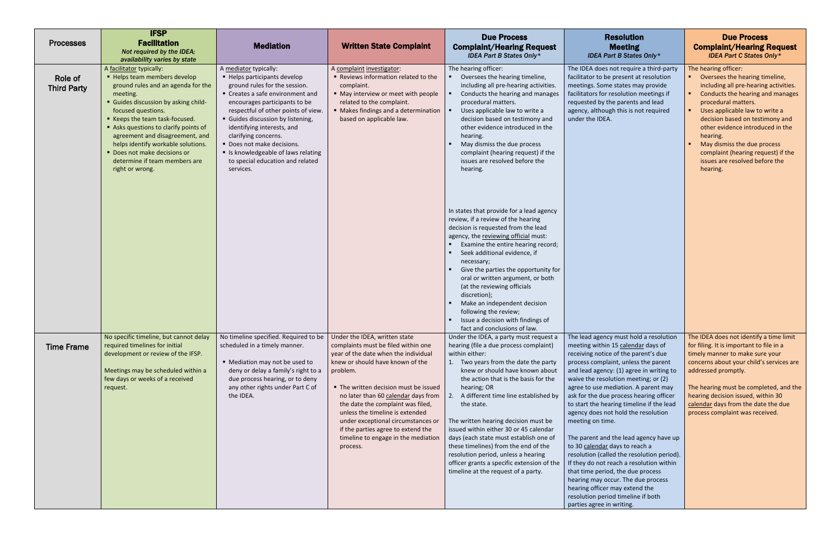| <b>Processes</b>              | <b>IFSP</b><br><b>Facilitation</b><br>Not required by the IDEA;<br>availability varies by state                                                                                                                                                                                                                                                                                                              | <b>Mediation</b>                                                                                                                                                                                                                                                                                                                                                                                              | <b>Written State Complaint</b>                                                                                                                                                                                                                                                                                                                                                                                                                      | <b>Due Process</b><br><b>Complaint/Hearing Request</b><br><b>IDEA Part B States Only*</b>                                                                                                                                                                                                                                                                                                                                                                                                                                                                                                  | <b>Resolution</b><br><b>Meeting</b><br><b>IDEA Part B States Only*</b>                                                                                                                                                                                                                                                                                                                                                                                                                                                                                                                                                                                                                                                                                                                            | <b>Due Process</b><br><b>Complaint/Hearing Request</b><br><b>IDEA Part C States Only*</b>                                                                                                                                                                                                                                                                                                          |
|-------------------------------|--------------------------------------------------------------------------------------------------------------------------------------------------------------------------------------------------------------------------------------------------------------------------------------------------------------------------------------------------------------------------------------------------------------|---------------------------------------------------------------------------------------------------------------------------------------------------------------------------------------------------------------------------------------------------------------------------------------------------------------------------------------------------------------------------------------------------------------|-----------------------------------------------------------------------------------------------------------------------------------------------------------------------------------------------------------------------------------------------------------------------------------------------------------------------------------------------------------------------------------------------------------------------------------------------------|--------------------------------------------------------------------------------------------------------------------------------------------------------------------------------------------------------------------------------------------------------------------------------------------------------------------------------------------------------------------------------------------------------------------------------------------------------------------------------------------------------------------------------------------------------------------------------------------|---------------------------------------------------------------------------------------------------------------------------------------------------------------------------------------------------------------------------------------------------------------------------------------------------------------------------------------------------------------------------------------------------------------------------------------------------------------------------------------------------------------------------------------------------------------------------------------------------------------------------------------------------------------------------------------------------------------------------------------------------------------------------------------------------|----------------------------------------------------------------------------------------------------------------------------------------------------------------------------------------------------------------------------------------------------------------------------------------------------------------------------------------------------------------------------------------------------|
| Role of<br><b>Third Party</b> | A facilitator typically:<br>■ Helps team members develop<br>ground rules and an agenda for the<br>meeting.<br>• Guides discussion by asking child-<br>focused questions.<br>■ Keeps the team task-focused.<br>Asks questions to clarify points of<br>agreement and disagreement, and<br>helps identify workable solutions.<br>Does not make decisions or<br>determine if team members are<br>right or wrong. | A mediator typically:<br>■ Helps participants develop<br>ground rules for the session.<br>• Creates a safe environment and<br>encourages participants to be<br>respectful of other points of view.<br>Guides discussion by listening,<br>identifying interests, and<br>clarifying concerns.<br>Does not make decisions.<br>Is knowledgeable of laws relating<br>to special education and related<br>services. | A complaint investigator:<br>Reviews information related to the<br>complaint.<br>• May interview or meet with people<br>related to the complaint.<br>• Makes findings and a determination<br>based on applicable law.                                                                                                                                                                                                                               | The hearing officer:<br>Oversees the hearing timeline,<br>including all pre-hearing activities.<br>Conducts the hearing and manages<br>procedural matters.<br>Uses applicable law to write a<br>decision based on testimony and<br>other evidence introduced in the<br>hearing.<br>May dismiss the due process<br>complaint (hearing request) if the<br>issues are resolved before the<br>hearing.                                                                                                                                                                                         | The IDEA does not require a third-party<br>facilitator to be present at resolution<br>meetings. Some states may provide<br>facilitators for resolution meetings if<br>requested by the parents and lead<br>agency, although this is not required<br>under the IDEA.                                                                                                                                                                                                                                                                                                                                                                                                                                                                                                                               | The hearing officer:<br>Oversees the hearing timeline,<br>including all pre-hearing activities.<br>Conducts the hearing and manages<br>procedural matters.<br>Uses applicable law to write a<br>decision based on testimony and<br>other evidence introduced in the<br>hearing.<br>May dismiss the due process<br>complaint (hearing request) if the<br>issues are resolved before the<br>hearing. |
|                               |                                                                                                                                                                                                                                                                                                                                                                                                              |                                                                                                                                                                                                                                                                                                                                                                                                               |                                                                                                                                                                                                                                                                                                                                                                                                                                                     | In states that provide for a lead agency<br>review, if a review of the hearing<br>decision is requested from the lead<br>agency, the reviewing official must:<br>Examine the entire hearing record;<br>Seek additional evidence, if<br>necessary;<br>Give the parties the opportunity for<br>oral or written argument, or both<br>(at the reviewing officials<br>discretion);<br>Make an independent decision<br>following the review;<br>Issue a decision with findings of<br>fact and conclusions of law.                                                                                |                                                                                                                                                                                                                                                                                                                                                                                                                                                                                                                                                                                                                                                                                                                                                                                                   |                                                                                                                                                                                                                                                                                                                                                                                                    |
| <b>Time Frame</b>             | No specific timeline, but cannot delay<br>required timelines for initial<br>development or review of the IFSP.<br>Meetings may be scheduled within a<br>few days or weeks of a received<br>request.                                                                                                                                                                                                          | No timeline specified. Required to be<br>scheduled in a timely manner.<br>• Mediation may not be used to<br>deny or delay a family's right to a<br>due process hearing, or to deny<br>any other rights under Part C of<br>the IDEA.                                                                                                                                                                           | Under the IDEA, written state<br>complaints must be filed within one<br>year of the date when the individual<br>knew or should have known of the<br>problem.<br>• The written decision must be issued<br>no later than 60 calendar days from<br>the date the complaint was filed,<br>unless the timeline is extended<br>under exceptional circumstances or<br>if the parties agree to extend the<br>timeline to engage in the mediation<br>process. | Under the IDEA, a party must request a<br>hearing (file a due process complaint)<br>within either:<br>1. Two years from the date the party<br>knew or should have known about<br>the action that is the basis for the<br>hearing; OR<br>A different time line established by<br>the state.<br>The written hearing decision must be<br>issued within either 30 or 45 calendar<br>days (each state must establish one of<br>these timelines) from the end of the<br>resolution period, unless a hearing<br>officer grants a specific extension of the<br>timeline at the request of a party. | The lead agency must hold a resolution<br>meeting within 15 calendar days of<br>receiving notice of the parent's due<br>process complaint, unless the parent<br>and lead agency: (1) agree in writing to<br>waive the resolution meeting; or (2)<br>agree to use mediation. A parent may<br>ask for the due process hearing officer<br>to start the hearing timeline if the lead<br>agency does not hold the resolution<br>meeting on time.<br>The parent and the lead agency have up<br>to 30 calendar days to reach a<br>resolution (called the resolution period).<br>If they do not reach a resolution within<br>that time period, the due process<br>hearing may occur. The due process<br>hearing officer may extend the<br>resolution period timeline if both<br>parties agree in writing. | The IDEA does not identify a time limit<br>for filing. It is important to file in a<br>timely manner to make sure your<br>concerns about your child's services are<br>addressed promptly.<br>The hearing must be completed, and the<br>hearing decision issued, within 30<br>calendar days from the date the due<br>process complaint was received.                                                |